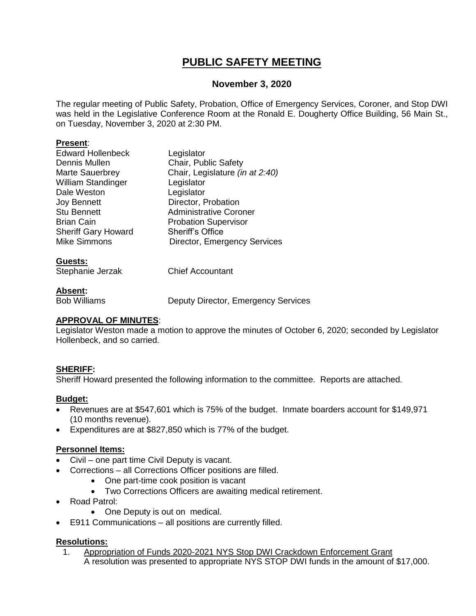## **PUBLIC SAFETY MEETING**

#### **November 3, 2020**

The regular meeting of Public Safety, Probation, Office of Emergency Services, Coroner, and Stop DWI was held in the Legislative Conference Room at the Ronald E. Dougherty Office Building, 56 Main St., on Tuesday, November 3, 2020 at 2:30 PM.

#### **Present**:

| <b>Edward Hollenbeck</b>   | Legislator                          |
|----------------------------|-------------------------------------|
| Dennis Mullen              | Chair, Public Safety                |
| <b>Marte Sauerbrey</b>     | Chair, Legislature (in at 2:40)     |
| <b>William Standinger</b>  | Legislator                          |
| Dale Weston                | Legislator                          |
| <b>Joy Bennett</b>         | Director, Probation                 |
| <b>Stu Bennett</b>         | <b>Administrative Coroner</b>       |
| <b>Brian Cain</b>          | <b>Probation Supervisor</b>         |
| <b>Sheriff Gary Howard</b> | <b>Sheriff's Office</b>             |
| <b>Mike Simmons</b>        | <b>Director, Emergency Services</b> |
|                            |                                     |

#### **Guests:**

| --------         |                         |
|------------------|-------------------------|
| Stephanie Jerzak | <b>Chief Accountant</b> |
|                  |                         |

#### **Absent:**

Bob Williams Deputy Director, Emergency Services

#### **APPROVAL OF MINUTES**:

Legislator Weston made a motion to approve the minutes of October 6, 2020; seconded by Legislator Hollenbeck, and so carried.

#### **SHERIFF:**

Sheriff Howard presented the following information to the committee. Reports are attached.

#### **Budget:**

- Revenues are at \$547,601 which is 75% of the budget. Inmate boarders account for \$149,971 (10 months revenue).
- Expenditures are at \$827,850 which is 77% of the budget.

#### **Personnel Items:**

- Civil one part time Civil Deputy is vacant.
- Corrections all Corrections Officer positions are filled.
	- One part-time cook position is vacant
	- Two Corrections Officers are awaiting medical retirement.
- Road Patrol:
	- One Deputy is out on medical.
- E911 Communications all positions are currently filled.

#### **Resolutions:**

1. Appropriation of Funds 2020-2021 NYS Stop DWI Crackdown Enforcement Grant A resolution was presented to appropriate NYS STOP DWI funds in the amount of \$17,000.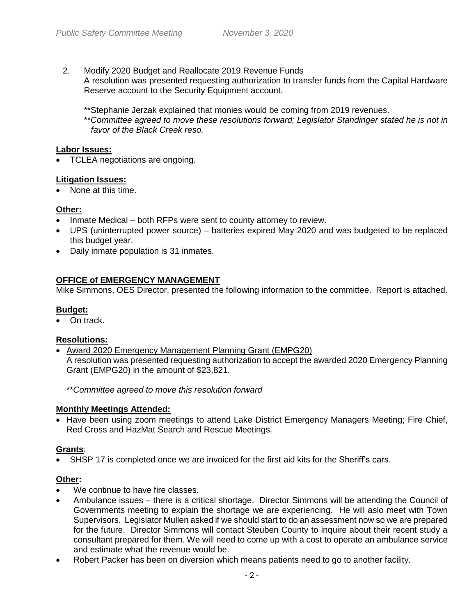#### 2. Modify 2020 Budget and Reallocate 2019 Revenue Funds

A resolution was presented requesting authorization to transfer funds from the Capital Hardware Reserve account to the Security Equipment account.

\*\*Stephanie Jerzak explained that monies would be coming from 2019 revenues.

\*\**Committee agreed to move these resolutions forward; Legislator Standinger stated he is not in favor of the Black Creek reso.*

#### **Labor Issues:**

• TCLEA negotiations are ongoing.

#### **Litigation Issues:**

• None at this time.

#### **Other:**

- Inmate Medical both RFPs were sent to county attorney to review.
- UPS (uninterrupted power source) batteries expired May 2020 and was budgeted to be replaced this budget year.
- Daily inmate population is 31 inmates.

#### **OFFICE of EMERGENCY MANAGEMENT**

Mike Simmons, OES Director, presented the following information to the committee. Report is attached.

#### **Budget:**

• On track.

#### **Resolutions:**

 Award 2020 Emergency Management Planning Grant (EMPG20) A resolution was presented requesting authorization to accept the awarded 2020 Emergency Planning Grant (EMPG20) in the amount of \$23,821.

\*\**Committee agreed to move this resolution forward*

#### **Monthly Meetings Attended:**

• Have been using zoom meetings to attend Lake District Emergency Managers Meeting; Fire Chief, Red Cross and HazMat Search and Rescue Meetings.

#### **Grants**:

SHSP 17 is completed once we are invoiced for the first aid kits for the Sheriff's cars.

#### **Other:**

- We continue to have fire classes.
- Ambulance issues there is a critical shortage. Director Simmons will be attending the Council of Governments meeting to explain the shortage we are experiencing. He will aslo meet with Town Supervisors. Legislator Mullen asked if we should start to do an assessment now so we are prepared for the future. Director Simmons will contact Steuben County to inquire about their recent study a consultant prepared for them. We will need to come up with a cost to operate an ambulance service and estimate what the revenue would be.
- Robert Packer has been on diversion which means patients need to go to another facility.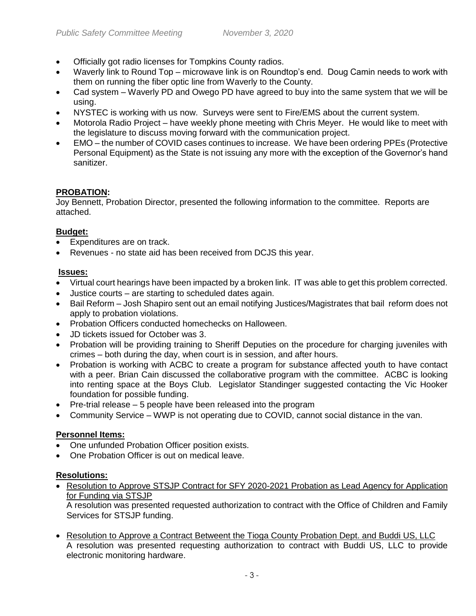- Officially got radio licenses for Tompkins County radios.
- Waverly link to Round Top microwave link is on Roundtop's end. Doug Camin needs to work with them on running the fiber optic line from Waverly to the County.
- Cad system Waverly PD and Owego PD have agreed to buy into the same system that we will be using.
- NYSTEC is working with us now. Surveys were sent to Fire/EMS about the current system.
- Motorola Radio Project have weekly phone meeting with Chris Meyer. He would like to meet with the legislature to discuss moving forward with the communication project.
- EMO the number of COVID cases continues to increase. We have been ordering PPEs (Protective Personal Equipment) as the State is not issuing any more with the exception of the Governor's hand sanitizer.

#### **PROBATION:**

Joy Bennett, Probation Director, presented the following information to the committee. Reports are attached.

#### **Budget:**

- Expenditures are on track.
- Revenues no state aid has been received from DCJS this year.

#### **Issues:**

- Virtual court hearings have been impacted by a broken link. IT was able to get this problem corrected.
- Justice courts are starting to scheduled dates again.
- Bail Reform Josh Shapiro sent out an email notifying Justices/Magistrates that bail reform does not apply to probation violations.
- Probation Officers conducted homechecks on Halloween.
- JD tickets issued for October was 3.
- Probation will be providing training to Sheriff Deputies on the procedure for charging juveniles with crimes – both during the day, when court is in session, and after hours.
- Probation is working with ACBC to create a program for substance affected youth to have contact with a peer. Brian Cain discussed the collaborative program with the committee. ACBC is looking into renting space at the Boys Club. Legislator Standinger suggested contacting the Vic Hooker foundation for possible funding.
- $\bullet$  Pre-trial release  $-5$  people have been released into the program
- Community Service WWP is not operating due to COVID, cannot social distance in the van.

#### **Personnel Items:**

- One unfunded Probation Officer position exists.
- One Probation Officer is out on medical leave.

#### **Resolutions:**

• Resolution to Approve STSJP Contract for SFY 2020-2021 Probation as Lead Agency for Application for Funding via STSJP

A resolution was presented requested authorization to contract with the Office of Children and Family Services for STSJP funding.

• Resolution to Approve a Contract Betweent the Tioga County Probation Dept. and Buddi US, LLC A resolution was presented requesting authorization to contract with Buddi US, LLC to provide electronic monitoring hardware.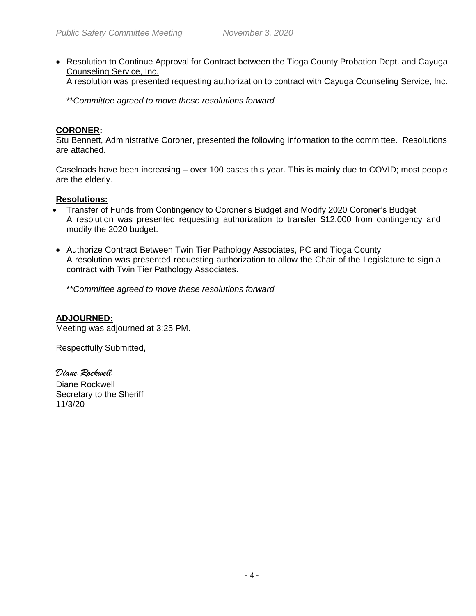• Resolution to Continue Approval for Contract between the Tioga County Probation Dept. and Cayuga Counseling Service, Inc.

A resolution was presented requesting authorization to contract with Cayuga Counseling Service, Inc.

\*\**Committee agreed to move these resolutions forward*

#### **CORONER:**

Stu Bennett, Administrative Coroner, presented the following information to the committee. Resolutions are attached.

Caseloads have been increasing – over 100 cases this year. This is mainly due to COVID; most people are the elderly.

#### **Resolutions:**

- Transfer of Funds from Contingency to Coroner's Budget and Modify 2020 Coroner's Budget A resolution was presented requesting authorization to transfer \$12,000 from contingency and modify the 2020 budget.
- Authorize Contract Between Twin Tier Pathology Associates, PC and Tioga County A resolution was presented requesting authorization to allow the Chair of the Legislature to sign a contract with Twin Tier Pathology Associates.

\*\**Committee agreed to move these resolutions forward*

#### **ADJOURNED:**

Meeting was adjourned at 3:25 PM.

Respectfully Submitted,

*Diane Rockwell* Diane Rockwell Secretary to the Sheriff 11/3/20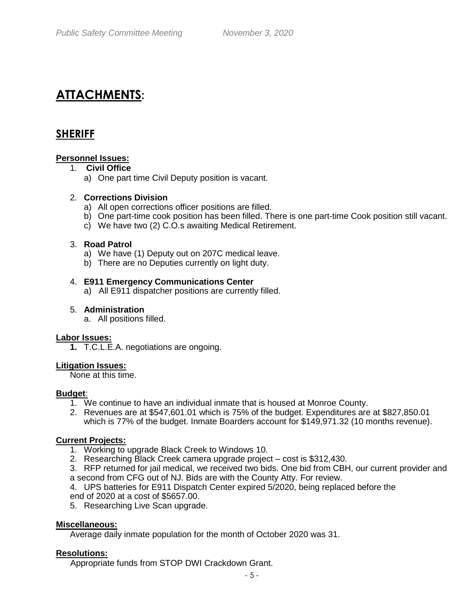# **ATTACHMENTS:**

### **SHERIFF**

#### **Personnel Issues:**

#### 1. **Civil Office**

a) One part time Civil Deputy position is vacant.

#### 2. **Corrections Division**

- a) All open corrections officer positions are filled.
- b) One part-time cook position has been filled. There is one part-time Cook position still vacant.
- c) We have two (2) C.O.s awaiting Medical Retirement.

#### 3. **Road Patrol**

- a) We have (1) Deputy out on 207C medical leave.
- b) There are no Deputies currently on light duty.

#### 4. **E911 Emergency Communications Center**

a)All E911 dispatcher positions are currently filled.

#### 5. **Administration**

a. All positions filled.

#### **Labor Issues:**

**1.** T.C.L.E.A. negotiations are ongoing.

#### **Litigation Issues:**

None at this time.

#### **Budget**:

- 1. We continue to have an individual inmate that is housed at Monroe County.
- 2. Revenues are at \$547,601.01 which is 75% of the budget. Expenditures are at \$827,850.01 which is 77% of the budget. Inmate Boarders account for \$149,971.32 (10 months revenue).

#### **Current Projects:**

- 1. Working to upgrade Black Creek to Windows 10.
- 2. Researching Black Creek camera upgrade project cost is \$312,430.
- 3. RFP returned for jail medical, we received two bids. One bid from CBH, our current provider and a second from CFG out of NJ. Bids are with the County Atty. For review.

4. UPS batteries for E911 Dispatch Center expired 5/2020, being replaced before the end of 2020 at a cost of \$5657.00.

5. Researching Live Scan upgrade.

#### **Miscellaneous:**

Average daily inmate population for the month of October 2020 was 31.

#### **Resolutions:**

Appropriate funds from STOP DWI Crackdown Grant.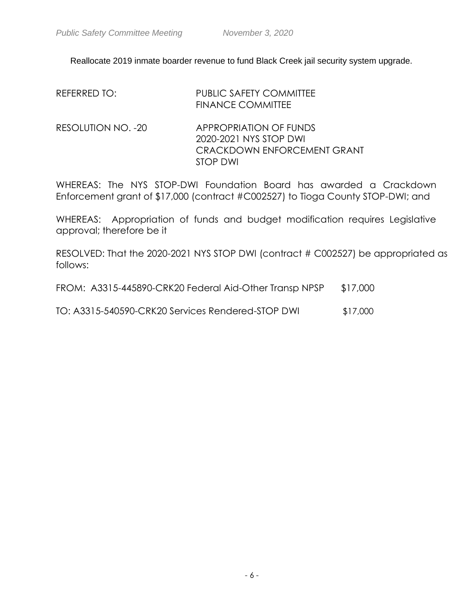Reallocate 2019 inmate boarder revenue to fund Black Creek jail security system upgrade.

| REFERRED TO:       | <b>PUBLIC SAFETY COMMITTEE</b><br><b>FINANCE COMMITTEE</b>                                  |
|--------------------|---------------------------------------------------------------------------------------------|
| RESOLUTION NO. -20 | APPROPRIATION OF FUNDS<br>2020-2021 NYS STOP DWI<br>CRACKDOWN ENFORCEMENT GRANT<br>STOP DWI |

WHEREAS: The NYS STOP-DWI Foundation Board has awarded a Crackdown Enforcement grant of \$17,000 (contract #C002527) to Tioga County STOP-DWI; and

WHEREAS: Appropriation of funds and budget modification requires Legislative approval; therefore be it

RESOLVED: That the 2020-2021 NYS STOP DWI (contract # C002527) be appropriated as follows:

|  | FROM: A3315-445890-CRK20 Federal Aid-Other Transp NPSP |  | \$17,000 |
|--|--------------------------------------------------------|--|----------|
|  |                                                        |  |          |

TO: A3315-540590-CRK20 Services Rendered-STOP DWI \$17,000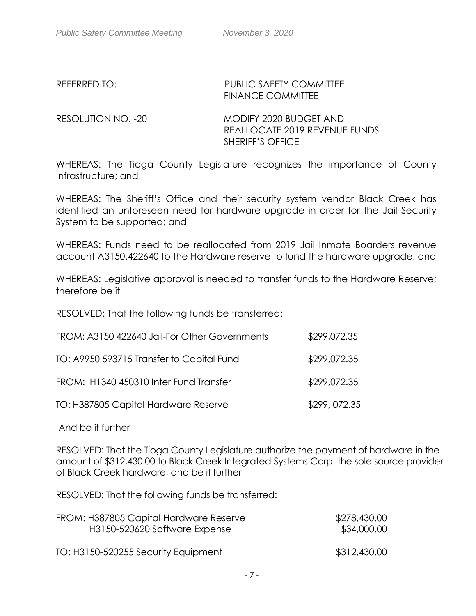### REFERRED TO: PUBLIC SAFETY COMMITTEE FINANCE COMMITTEE

RESOLUTION NO. -20 MODIFY 2020 BUDGET AND REALLOCATE 2019 REVENUE FUNDS SHERIFF'S OFFICE

WHEREAS: The Tioga County Legislature recognizes the importance of County Infrastructure; and

WHEREAS: The Sheriff's Office and their security system vendor Black Creek has identified an unforeseen need for hardware upgrade in order for the Jail Security System to be supported; and

WHEREAS: Funds need to be reallocated from 2019 Jail Inmate Boarders revenue account A3150.422640 to the Hardware reserve to fund the hardware upgrade; and

WHEREAS: Legislative approval is needed to transfer funds to the Hardware Reserve; therefore be it

RESOLVED: That the following funds be transferred:

| FROM: A3150 422640 Jail-For Other Governments | \$299,072.35 |
|-----------------------------------------------|--------------|
| TO: A9950 593715 Transfer to Capital Fund     | \$299,072.35 |
| FROM: H1340 450310 Inter Fund Transfer        | \$299,072.35 |
| TO: H387805 Capital Hardware Reserve          | \$299,072.35 |

And be it further

RESOLVED: That the Tioga County Legislature authorize the payment of hardware in the amount of \$312,430.00 to Black Creek Integrated Systems Corp. the sole source provider of Black Creek hardware; and be it further

RESOLVED: That the following funds be transferred:

| FROM: H387805 Capital Hardware Reserve | \$278,430.00 |
|----------------------------------------|--------------|
| H3150-520620 Software Expense          | \$34,000.00  |
| TO: H3150-520255 Security Equipment    | \$312,430.00 |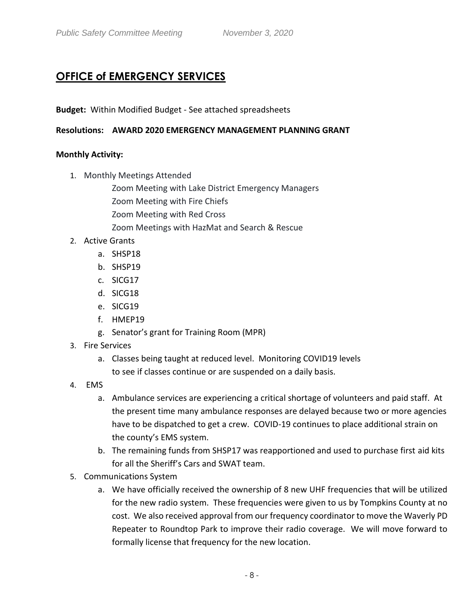# **OFFICE of EMERGENCY SERVICES**

### **Budget:** Within Modified Budget - See attached spreadsheets

#### **Resolutions: AWARD 2020 EMERGENCY MANAGEMENT PLANNING GRANT**

#### **Monthly Activity:**

- 1. Monthly Meetings Attended
	- Zoom Meeting with Lake District Emergency Managers
	- Zoom Meeting with Fire Chiefs
	- Zoom Meeting with Red Cross
	- Zoom Meetings with HazMat and Search & Rescue
- 2. Active Grants
	- a. SHSP18
	- b. SHSP19
	- c. SICG17
	- d. SICG18
	- e. SICG19
	- f. HMEP19
	- g. Senator's grant for Training Room (MPR)
- 3. Fire Services
	- a. Classes being taught at reduced level. Monitoring COVID19 levels to see if classes continue or are suspended on a daily basis.
- 4. EMS
	- a. Ambulance services are experiencing a critical shortage of volunteers and paid staff. At the present time many ambulance responses are delayed because two or more agencies have to be dispatched to get a crew. COVID-19 continues to place additional strain on the county's EMS system.
	- b. The remaining funds from SHSP17 was reapportioned and used to purchase first aid kits for all the Sheriff's Cars and SWAT team.
- 5. Communications System
	- a. We have officially received the ownership of 8 new UHF frequencies that will be utilized for the new radio system. These frequencies were given to us by Tompkins County at no cost. We also received approval from our frequency coordinator to move the Waverly PD Repeater to Roundtop Park to improve their radio coverage. We will move forward to formally license that frequency for the new location.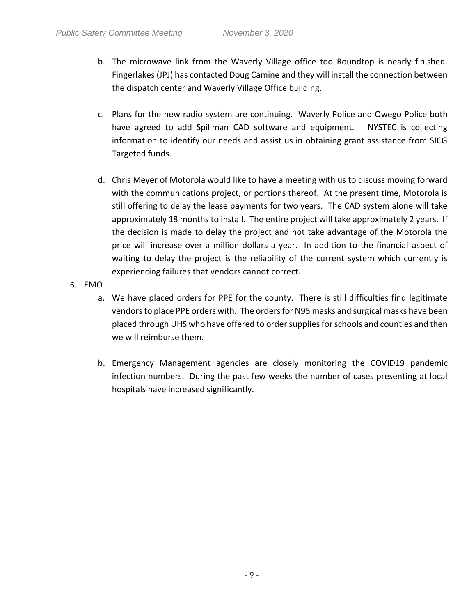- b. The microwave link from the Waverly Village office too Roundtop is nearly finished. Fingerlakes (JPJ) has contacted Doug Camine and they will install the connection between the dispatch center and Waverly Village Office building.
- c. Plans for the new radio system are continuing. Waverly Police and Owego Police both have agreed to add Spillman CAD software and equipment. NYSTEC is collecting information to identify our needs and assist us in obtaining grant assistance from SICG Targeted funds.
- d. Chris Meyer of Motorola would like to have a meeting with us to discuss moving forward with the communications project, or portions thereof. At the present time, Motorola is still offering to delay the lease payments for two years. The CAD system alone will take approximately 18 months to install. The entire project will take approximately 2 years. If the decision is made to delay the project and not take advantage of the Motorola the price will increase over a million dollars a year. In addition to the financial aspect of waiting to delay the project is the reliability of the current system which currently is experiencing failures that vendors cannot correct.
- 6. EMO
	- a. We have placed orders for PPE for the county. There is still difficulties find legitimate vendors to place PPE orders with. The orders for N95 masks and surgical masks have been placed through UHS who have offered to order supplies for schools and counties and then we will reimburse them.
	- b. Emergency Management agencies are closely monitoring the COVID19 pandemic infection numbers. During the past few weeks the number of cases presenting at local hospitals have increased significantly.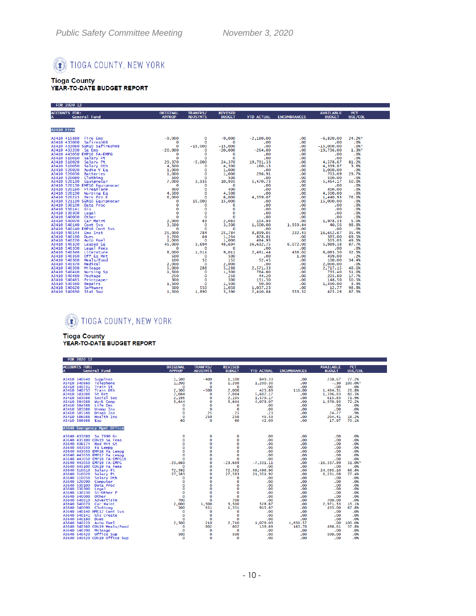

# Tioga County<br>YEAR-TO-DATE BUDGET REPORT

| FOR 2020 12          |                 |                 |                |                   |                     |                                                                                               |                |
|----------------------|-----------------|-----------------|----------------|-------------------|---------------------|-----------------------------------------------------------------------------------------------|----------------|
| <b>ACCOUNTS FOR:</b> | <b>ORIGINAL</b> | TRANFRS/        | <b>REVISED</b> |                   |                     | <b>AVAILABLE</b>                                                                              | <b>PCT</b>     |
| A<br>General Fund    | <b>APPROP</b>   | <b>ADJSTMTS</b> | <b>BUDGET</b>  | <b>YTD ACTUAL</b> | <b>ENCUMBRANCES</b> | <b>BUDGET</b>                                                                                 | USE/COL        |
|                      |                 |                 |                |                   |                     |                                                                                               |                |
| <b>A3410 Fire</b>    |                 |                 |                |                   |                     |                                                                                               |                |
|                      |                 |                 |                |                   |                     | $-6,820.00$                                                                                   | 24.2%*         |
|                      |                 |                 |                |                   |                     | .00                                                                                           | $.0\%$         |
|                      |                 |                 |                |                   |                     | $-15,000,00$                                                                                  | $.0%$ *        |
|                      |                 |                 |                |                   |                     | $-19,736.00$                                                                                  | $1.3%$ *       |
|                      |                 |                 |                |                   |                     | .00                                                                                           | .0%            |
|                      |                 |                 |                |                   |                     | .00                                                                                           | .0%            |
|                      |                 |                 |                |                   |                     | 4,578.67                                                                                      | 81.2%<br>3.6%  |
|                      |                 |                 |                |                   |                     | 4,339.87<br>1,000.00                                                                          | .0%            |
|                      |                 |                 |                |                   |                     |                                                                                               | 29.7%          |
|                      |                 |                 |                |                   |                     | $\begin{array}{cc} .00 & .703.09 \ .00 & .500.00 \ .00 & .5,464.17 \ .00 & .00 \ \end{array}$ | .0%            |
|                      |                 |                 |                |                   |                     |                                                                                               | 50.0%          |
|                      |                 |                 |                |                   |                     |                                                                                               | .0%            |
|                      |                 |                 |                |                   | $00 \ldots$         | 400.00                                                                                        | .0%            |
|                      |                 |                 |                |                   |                     | 4,500.00                                                                                      | .0%            |
|                      |                 |                 |                |                   |                     | 1,440.93<br>15,000.00                                                                         | 76.0%          |
|                      |                 |                 |                |                   |                     |                                                                                               | .0%            |
|                      |                 |                 |                |                   |                     | .00                                                                                           | .0%            |
|                      |                 |                 |                |                   |                     | .00                                                                                           | .0%            |
|                      |                 |                 |                |                   |                     | .00                                                                                           | .0%<br>.0%     |
|                      |                 |                 |                |                   |                     | $1,978.33$<br>$1,978.33$<br>$40.56$<br>$16,652.67$<br>$385.00$<br>$285.00$                    | 5.0%           |
|                      |                 |                 |                |                   |                     |                                                                                               | 98.8%          |
|                      |                 |                 |                |                   |                     |                                                                                               | .0%            |
|                      |                 |                 |                |                   |                     |                                                                                               | 35.4%          |
|                      |                 |                 |                |                   |                     |                                                                                               | 69.5%          |
|                      |                 |                 |                |                   |                     | 505.05                                                                                        | 49.5%          |
|                      |                 |                 |                |                   |                     | 5,989.38                                                                                      | 87.7%          |
|                      |                 |                 |                |                   |                     | $00$<br>436.02 6,083.30                                                                       | .0%            |
|                      |                 |                 |                |                   |                     |                                                                                               | 32.5%          |
|                      |                 |                 |                |                   |                     | 499.00                                                                                        | .2%            |
|                      |                 |                 |                |                   | $\frac{00}{00}$     | 100.00                                                                                        | 34,4%          |
|                      |                 |                 |                |                   |                     | 2,000.00                                                                                      | .0%            |
|                      |                 |                 |                |                   |                     | 2,717.15<br>735.40                                                                            | 48.6%<br>51.0% |
|                      |                 |                 |                |                   | .00                 | 205,80                                                                                        | 17.7%          |
|                      |                 |                 |                |                   |                     |                                                                                               | 50.5%          |
|                      |                 |                 |                |                   |                     |                                                                                               | 3.3%           |
|                      |                 |                 |                |                   |                     | $\begin{array}{cc} .00 & 148.50 \\ .00 & 1,450.00 \\ .00 & 1,450.00 \end{array}$              | 98.8%          |
|                      |                 |                 |                |                   | 553.52              | 425.26                                                                                        | 87.5%          |
|                      |                 |                 |                |                   |                     |                                                                                               |                |

### TIOGA COUNTY, NEW YORK

Tioga County<br>YEAR-TO-DATE BUDGET REPORT

| <b>FUR ZUZU IZ</b>            |                 |                 |                          |                    |                     |                  |                        |  |
|-------------------------------|-----------------|-----------------|--------------------------|--------------------|---------------------|------------------|------------------------|--|
| <b>ACCOUNTS FOR:</b>          | <b>ORIGINAL</b> | TRANFRS/        | <b>REVISED</b>           |                    |                     | <b>AVAILABLE</b> | PCT                    |  |
| General Fund<br>A             | <b>APPROP</b>   | <b>ADJSTMTS</b> | <b>BUDGET</b>            | <b>YTD ACTUAL</b>  | <b>ENCUMBRANCES</b> | <b>BUDGET</b>    | USE/COL                |  |
|                               |                 |                 |                          |                    |                     |                  |                        |  |
| A3410 540640 Supplies         | 1,500           | $-400$          | 1,100                    | 849.33             | .00                 | 250.67           | 77.2%                  |  |
| A3410 540660 Telephone        | 1,200           | $\Omega$        | 1,200                    | 1,200.30           | .00                 |                  | $-.30 \quad 100.0\%$ * |  |
| A3410 540731 Train St         | $\Omega$        | $\Omega$        | $\overline{\phantom{0}}$ | .00 <sub>1</sub>   | .00                 | .00              | .0%                    |  |
| A3410 540733 Train Oth        | 2,500           | $-500$          | 2,000                    | 425.69             | 110.00              | 1,464.31         | 26.8%                  |  |
| A3410 581088 St Ret           | 7.084           | $\Omega$        | 7.084                    | 5,687.17           | .00.                | 1,396.83         | 80.3%                  |  |
| A3410 583088 Social Sec       | 2,195           | 0               | 2,195                    | 1,579.17           | .00                 | 615.83           | 71.9%                  |  |
| A3410 584088 Work Comp        | 5,644           | 0               | 5,644                    | 4,073.07           | .00                 | 1,570.93         | 72.2%                  |  |
| A3410 584588 Life Ins         | $\mathbf{o}$    | $\mathbf{o}$    | $\mathbf{o}$             | .00                | .00                 | .00              | .0%                    |  |
| A3410 585088 Unemp Ins        | $\mathbf 0$     | $\mathbf{o}$    | $\mathbf{o}$             | .00                | .00                 | .00              | .0%                    |  |
| Disab Ins<br>A3410 585588     | $\mathbf 0$     | 25              | 25                       | .23                | .00                 | 24.77            | .9%                    |  |
| A3410 586088 Health Ins       | $\mathbf{o}$    | 250             | 250                      |                    | .00                 | 204.41           | 18.2%                  |  |
| A3410 588988 Eap              | 60              | $\Omega$        | 60                       | $45.59$<br>$42.03$ | .00                 | 17.97            | 70.1%                  |  |
|                               |                 |                 |                          |                    |                     |                  |                        |  |
| A3640 Emergency Mgmt Office   |                 |                 |                          |                    |                     |                  |                        |  |
| A3640 433080 Sa 7990 Gr       |                 | $\mathbf 0$     | $\mathbf{o}$             | .00                | .00                 | .00              | .0%                    |  |
| A3640 435100 COV19 Sa Fema    |                 | $\Omega$        | $\Omega$                 | .00                | .00                 | .00              | .0%                    |  |
| A3640 436574 Hzd Mit Gt       |                 | 0               | $\mathbf{o}$             | .00                | .00                 | .00              | .0%                    |  |
| A3640 443050 Fa Lempg         |                 | $\Omega$        | $\Omega$                 | .00                | .00                 | .00              | .0%                    |  |
| A3640 443050 EMP16 Fa Lempg   |                 | $\Omega$        | $\Omega$                 | .00                | .00                 | .00              | .0%                    |  |
| A3640 443050 EMP17 Fa Lempg   |                 | $\mathbf 0$     | $\mathbf{O}$             | .00                | .00                 | .00              | .0%                    |  |
| A3640 443050 EMP18 FA-EMPG18  |                 | $\mathbf 0$     | 0                        | .00                | .00                 | .00              | .0%                    |  |
| A3640 443050 EMP19 FA-EMPG    |                 | $\mathbf 0$     | $-23,669$                | $-7, 331, 11$      | .00                 | $-16, 337, 89$   | 31.0%*                 |  |
| A3640 445100 COV19 Fa Fema    |                 | 0               | $\mathbf{o}$             | .00                | .00                 | .00              | .0%                    |  |
| A3640 510010 Salary Ft        |                 | 0               | 72,592                   | 48,496.90          | .00                 | 24,095.10        | 66.8%                  |  |
| A3640 510020 Salary Pt        |                 | 0               | 27,583                   | 21,351.92          | .00                 | 6,231.08         | 77.4%                  |  |
| A3640 510050<br>Salary Oth    |                 | $\mathbf 0$     | $\Omega$                 | .00                | .00                 | .00              | .0%                    |  |
| A3640 520090 Computer         |                 | $\mathbf 0$     | $\mathbf 0$              | .00                | .00                 | .00              | .0%                    |  |
| A3640 530100<br>Data Proc     |                 | $\mathbf{o}$    | $\Omega$                 | .00                | .00                 | .00              | .0%                    |  |
| A3640 530300<br>Legal         |                 | $\mathbf{o}$    | $\bullet$                | .00                | .00                 | .00              | .0%                    |  |
| A3640 530330 SS-Other P       |                 | $\mathbf 0$     | $\mathbf{O}$             | .00                | .00 <sub>1</sub>    | .00              | .0%                    |  |
| A3640 540000 Other            |                 | $\mathbf 0$     | $\overline{0}$           | .00                | .00                 | .00              | .0%                    |  |
| A3640 540010 Advertisin       |                 | $\Omega$        | 700                      | .00                | .00                 | 700.00           | .0%                    |  |
| A3640 540070 Car Maint        |                 | 1,500           | 3,500                    | 528.67             | .00                 | 2.971.33         | 15.1%                  |  |
| A3640 540090 Clothing         |                 | 851             | 1,351                    | 915.87             | .00                 | 435,00           | 67.8%                  |  |
| A3640 540140 HME17 Cont Svs   |                 | 0               | $\mathbf{o}$             | .00                | .00                 | .00              | .0%                    |  |
| A3640 540141 Gis Create       |                 | 0               | $\mathbf{o}$             | .00                | .00                 | .00              | .0%                    |  |
| A3640 540180 Dues             |                 | $\mathbf{o}$    | $\mathbf{o}$             | .00                | .00                 | .00              | .0%                    |  |
| A3640 540220 Auto Fuel        |                 | 210             | 2,710                    | 1,079.03           | 1,630.57            | .00              | 100.0%                 |  |
| A3640 540360 COV19 Meals/Food |                 | 802             | 802                      | 139.69             | 163.70              | 498.61           | 37.8%                  |  |
| A3640 540390 Mileage          |                 | O               | $\mathbf{o}$             | .00                | .00                 | .00              | .0%                    |  |
| A3640 540420 Office Sup       |                 | $\mathbf 0$     | 500                      | .00                | .00                 | 500.00           | .0%                    |  |
| A3640 540420 COV19 Office Sup |                 | $\Omega$        | $\Omega$                 | .00                | .00                 | .00              | .0%                    |  |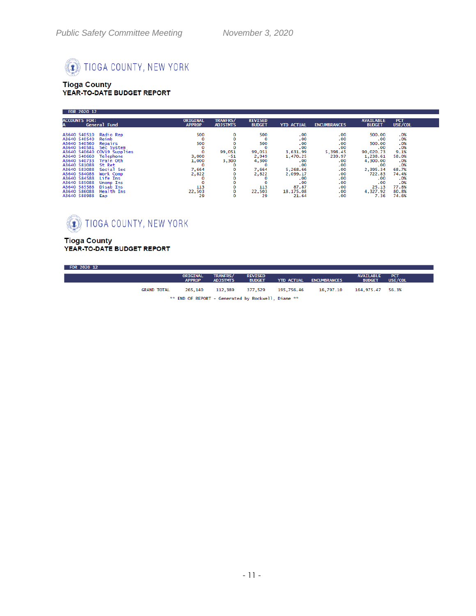# TIOGA COUNTY, NEW YORK

# Tioga County<br>YEAR-TO-DATE BUDGET REPORT

| <b>TRANFRS/</b><br><b>ACCOUNTS FOR:</b><br><b>REVISED</b><br><b>PCT</b><br><b>ORIGINAL</b><br><b>AVAILABLE</b><br>General Fund<br>USE/COL<br><b>BUDGET</b><br><b>YTD ACTUAL</b><br><b>APPROP</b><br><b>ADJSTMTS</b><br><b>ENCUMBRANCES</b><br><b>BUDGET</b><br>500<br>.0%<br>Radio Rep<br>500<br>A3640 540510<br>.00<br>.00<br>500,00<br>0<br>Reimb<br>.00<br>.0%<br>A3640 540540<br>.00<br>0<br>0<br>.00<br>500<br>.0%<br>500<br>.00<br>A3640 540560<br>.00<br>500,00<br>Repairs<br>.0%<br>.00<br>.00<br>A3640 540581 Sec System<br>$\Omega$<br>.00<br>A3640 540640 COV19 Supplies<br>90,020.73<br>9.1%<br>99,051<br>3,631.99<br>5,398.45<br>99,051<br>A3640 540660 Telephone<br>58.0%<br>239.97<br>1,238.61<br>3,000<br>-51<br>2,949<br>1,470.25<br>1,000<br>A3640 540733 Train Oth<br>3,300<br>4,300.00<br>4,300<br>.0%<br>.00<br>.00<br>.00<br>.0%<br>A3640 581088 St Ret<br>.00<br>0<br>.00<br>0<br>Social Sec<br>7,664<br>68.7%<br>A3640 583088<br>7,664<br>5,268.66<br>.00<br>2,395.34<br>0<br>A3640 584088<br>Work Comp<br>2,822<br>2,822<br>.00<br>722.83<br>2,099.17<br>74.4%<br>Life Ins<br>A3640 584588<br>.00<br>.0%<br>.00<br>.00 | <b>FOR 2020 12</b> |  |  |  |  |
|-------------------------------------------------------------------------------------------------------------------------------------------------------------------------------------------------------------------------------------------------------------------------------------------------------------------------------------------------------------------------------------------------------------------------------------------------------------------------------------------------------------------------------------------------------------------------------------------------------------------------------------------------------------------------------------------------------------------------------------------------------------------------------------------------------------------------------------------------------------------------------------------------------------------------------------------------------------------------------------------------------------------------------------------------------------------------------------------------------------------------------------------------|--------------------|--|--|--|--|
|                                                                                                                                                                                                                                                                                                                                                                                                                                                                                                                                                                                                                                                                                                                                                                                                                                                                                                                                                                                                                                                                                                                                                 |                    |  |  |  |  |
| A3640 585088<br>.00<br>.0%<br>.00<br><b>Unemp Ins</b><br>0<br>.00<br>o<br>87.87<br>77.8%<br>A3640 585588<br>113<br>113<br>Disab Ins<br>О<br>.00<br>25.13<br>Health Ins<br>22,503<br>A3640 586088<br>4,327.92<br>22,503<br>18,175.08<br>.00<br>80.8%<br>0<br>29<br>29<br>A3640 588988<br>О<br>21.64<br>.00<br>7.36<br>74.6%<br>Eap                                                                                                                                                                                                                                                                                                                                                                                                                                                                                                                                                                                                                                                                                                                                                                                                               |                    |  |  |  |  |

# TIOGA COUNTY, NEW YORK

# Tioga County<br>YEAR-TO-DATE BUDGET REPORT

| FOR 2020 12 |                    |                           |                                                    |                                 |                   |                     |                                   |                       |
|-------------|--------------------|---------------------------|----------------------------------------------------|---------------------------------|-------------------|---------------------|-----------------------------------|-----------------------|
|             |                    | ORIGINAL<br><b>APPROP</b> | <b>TRANFRS/</b><br><b>ADJSTMTS</b>                 | <b>REVISED</b><br><b>BUDGET</b> | <b>YTD ACTUAL</b> | <b>ENCUMBRANCES</b> | <b>AVAILABLE</b><br><b>BUDGET</b> | <b>PCT</b><br>USE/COL |
|             | <b>GRAND TOTAL</b> | 265,140                   | 112,389                                            | 377.529                         | 195,756.46        | 16.797.10           | 164,975.47 56.3%                  |                       |
|             |                    |                           | ** END OF REPORT - Generated by Rockwell, Diane ** |                                 |                   |                     |                                   |                       |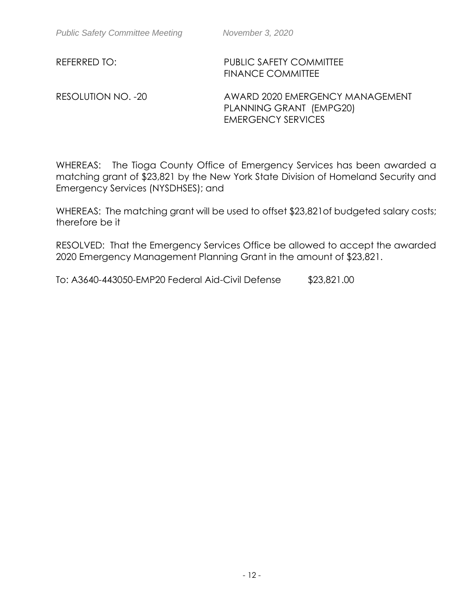REFERRED TO: PUBLIC SAFETY COMMITTEE FINANCE COMMITTEE

RESOLUTION NO. -20 AWARD 2020 EMERGENCY MANAGEMENT PLANNING GRANT (EMPG20) EMERGENCY SERVICES

WHEREAS: The Tioga County Office of Emergency Services has been awarded a matching grant of \$23,821 by the New York State Division of Homeland Security and Emergency Services (NYSDHSES); and

WHEREAS: The matching grant will be used to offset \$23,821of budgeted salary costs; therefore be it

RESOLVED: That the Emergency Services Office be allowed to accept the awarded 2020 Emergency Management Planning Grant in the amount of \$23,821.

To: A3640-443050-EMP20 Federal Aid-Civil Defense \$23,821.00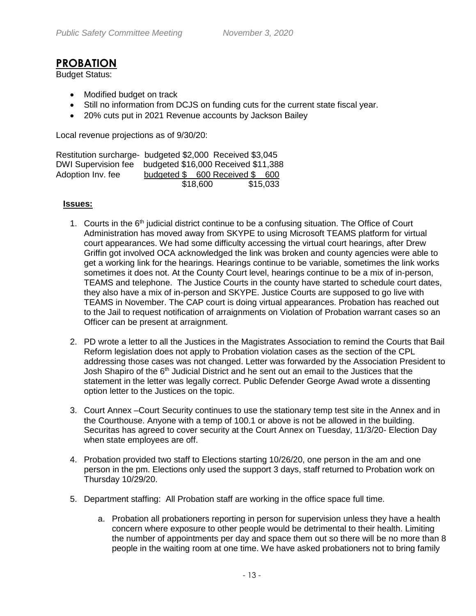### **PROBATION**

Budget Status:

- Modified budget on track
- Still no information from DCJS on funding cuts for the current state fiscal year.
- 20% cuts put in 2021 Revenue accounts by Jackson Bailey

Local revenue projections as of 9/30/20:

| Restitution surcharge- budgeted \$2,000 Received \$3,045 |                               |          |
|----------------------------------------------------------|-------------------------------|----------|
| DWI Supervision fee budgeted \$16,000 Received \$11,388  |                               |          |
| Adoption Inv. fee                                        | budgeted \$600 Received \$600 |          |
|                                                          | \$18,600                      | \$15,033 |

#### **Issues:**

- 1. Courts in the  $6<sup>th</sup>$  judicial district continue to be a confusing situation. The Office of Court Administration has moved away from SKYPE to using Microsoft TEAMS platform for virtual court appearances. We had some difficulty accessing the virtual court hearings, after Drew Griffin got involved OCA acknowledged the link was broken and county agencies were able to get a working link for the hearings. Hearings continue to be variable, sometimes the link works sometimes it does not. At the County Court level, hearings continue to be a mix of in-person, TEAMS and telephone. The Justice Courts in the county have started to schedule court dates, they also have a mix of in-person and SKYPE. Justice Courts are supposed to go live with TEAMS in November. The CAP court is doing virtual appearances. Probation has reached out to the Jail to request notification of arraignments on Violation of Probation warrant cases so an Officer can be present at arraignment.
- 2. PD wrote a letter to all the Justices in the Magistrates Association to remind the Courts that Bail Reform legislation does not apply to Probation violation cases as the section of the CPL addressing those cases was not changed. Letter was forwarded by the Association President to Josh Shapiro of the 6<sup>th</sup> Judicial District and he sent out an email to the Justices that the statement in the letter was legally correct. Public Defender George Awad wrote a dissenting option letter to the Justices on the topic.
- 3. Court Annex –Court Security continues to use the stationary temp test site in the Annex and in the Courthouse. Anyone with a temp of 100.1 or above is not be allowed in the building. Securitas has agreed to cover security at the Court Annex on Tuesday, 11/3/20- Election Day when state employees are off.
- 4. Probation provided two staff to Elections starting 10/26/20, one person in the am and one person in the pm. Elections only used the support 3 days, staff returned to Probation work on Thursday 10/29/20.
- 5. Department staffing: All Probation staff are working in the office space full time.
	- a. Probation all probationers reporting in person for supervision unless they have a health concern where exposure to other people would be detrimental to their health. Limiting the number of appointments per day and space them out so there will be no more than 8 people in the waiting room at one time. We have asked probationers not to bring family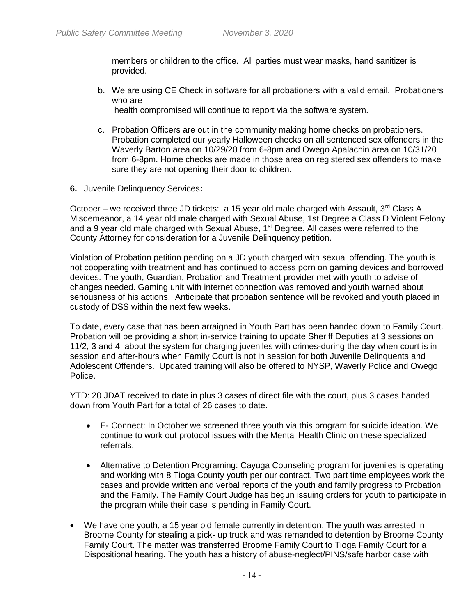members or children to the office. All parties must wear masks, hand sanitizer is provided.

b. We are using CE Check in software for all probationers with a valid email. Probationers who are

health compromised will continue to report via the software system.

c. Probation Officers are out in the community making home checks on probationers. Probation completed our yearly Halloween checks on all sentenced sex offenders in the Waverly Barton area on 10/29/20 from 6-8pm and Owego Apalachin area on 10/31/20 from 6-8pm. Home checks are made in those area on registered sex offenders to make sure they are not opening their door to children.

#### **6.** Juvenile Delinquency Services**:**

October – we received three JD tickets: a 15 year old male charged with Assault,  $3<sup>rd</sup>$  Class A Misdemeanor, a 14 year old male charged with Sexual Abuse, 1st Degree a Class D Violent Felony and a 9 year old male charged with Sexual Abuse, 1<sup>st</sup> Degree. All cases were referred to the County Attorney for consideration for a Juvenile Delinquency petition.

Violation of Probation petition pending on a JD youth charged with sexual offending. The youth is not cooperating with treatment and has continued to access porn on gaming devices and borrowed devices. The youth, Guardian, Probation and Treatment provider met with youth to advise of changes needed. Gaming unit with internet connection was removed and youth warned about seriousness of his actions. Anticipate that probation sentence will be revoked and youth placed in custody of DSS within the next few weeks.

To date, every case that has been arraigned in Youth Part has been handed down to Family Court. Probation will be providing a short in-service training to update Sheriff Deputies at 3 sessions on 11/2, 3 and 4 about the system for charging juveniles with crimes-during the day when court is in session and after-hours when Family Court is not in session for both Juvenile Delinquents and Adolescent Offenders. Updated training will also be offered to NYSP, Waverly Police and Owego Police.

YTD: 20 JDAT received to date in plus 3 cases of direct file with the court, plus 3 cases handed down from Youth Part for a total of 26 cases to date.

- E- Connect: In October we screened three youth via this program for suicide ideation. We continue to work out protocol issues with the Mental Health Clinic on these specialized referrals.
- Alternative to Detention Programing: Cayuga Counseling program for juveniles is operating and working with 8 Tioga County youth per our contract. Two part time employees work the cases and provide written and verbal reports of the youth and family progress to Probation and the Family. The Family Court Judge has begun issuing orders for youth to participate in the program while their case is pending in Family Court.
- We have one youth, a 15 year old female currently in detention. The youth was arrested in Broome County for stealing a pick- up truck and was remanded to detention by Broome County Family Court. The matter was transferred Broome Family Court to Tioga Family Court for a Dispositional hearing. The youth has a history of abuse-neglect/PINS/safe harbor case with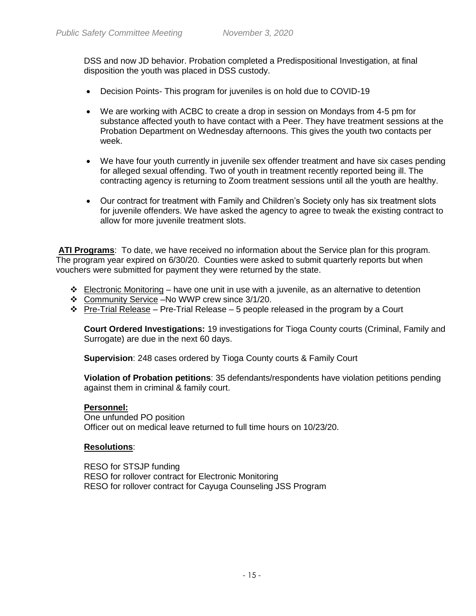DSS and now JD behavior. Probation completed a Predispositional Investigation, at final disposition the youth was placed in DSS custody.

- Decision Points- This program for juveniles is on hold due to COVID-19
- We are working with ACBC to create a drop in session on Mondays from 4-5 pm for substance affected youth to have contact with a Peer. They have treatment sessions at the Probation Department on Wednesday afternoons. This gives the youth two contacts per week.
- We have four youth currently in juvenile sex offender treatment and have six cases pending for alleged sexual offending. Two of youth in treatment recently reported being ill. The contracting agency is returning to Zoom treatment sessions until all the youth are healthy.
- Our contract for treatment with Family and Children's Society only has six treatment slots for juvenile offenders. We have asked the agency to agree to tweak the existing contract to allow for more juvenile treatment slots.

**ATI Programs**: To date, we have received no information about the Service plan for this program. The program year expired on 6/30/20. Counties were asked to submit quarterly reports but when vouchers were submitted for payment they were returned by the state.

- $\div$  Electronic Monitoring have one unit in use with a juvenile, as an alternative to detention
- Community Service –No WWP crew since 3/1/20.
- $\cdot \cdot$  Pre-Trial Release Pre-Trial Release 5 people released in the program by a Court

**Court Ordered Investigations:** 19 investigations for Tioga County courts (Criminal, Family and Surrogate) are due in the next 60 days.

**Supervision**: 248 cases ordered by Tioga County courts & Family Court

**Violation of Probation petitions**: 35 defendants/respondents have violation petitions pending against them in criminal & family court.

#### **Personnel:**

One unfunded PO position Officer out on medical leave returned to full time hours on 10/23/20.

#### **Resolutions**:

RESO for STSJP funding RESO for rollover contract for Electronic Monitoring RESO for rollover contract for Cayuga Counseling JSS Program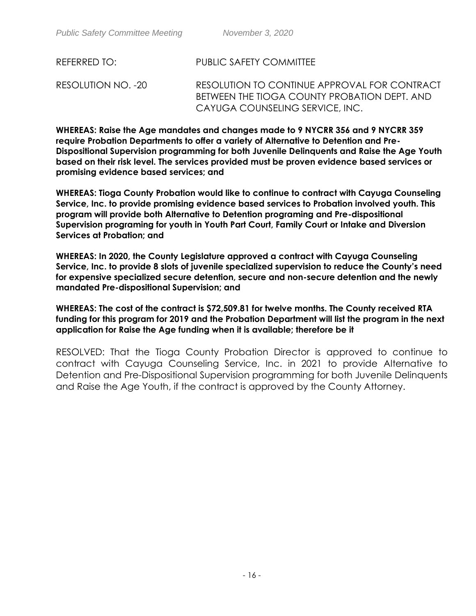RESOLUTION NO. -20 RESOLUTION TO CONTINUE APPROVAL FOR CONTRACT BETWEEN THE TIOGA COUNTY PROBATION DEPT. AND CAYUGA COUNSELING SERVICE, INC.

**WHEREAS: Raise the Age mandates and changes made to 9 NYCRR 356 and 9 NYCRR 359 require Probation Departments to offer a variety of Alternative to Detention and Pre-Dispositional Supervision programming for both Juvenile Delinquents and Raise the Age Youth based on their risk level. The services provided must be proven evidence based services or promising evidence based services; and**

**WHEREAS: Tioga County Probation would like to continue to contract with Cayuga Counseling Service, Inc. to provide promising evidence based services to Probation involved youth. This program will provide both Alternative to Detention programing and Pre-dispositional Supervision programing for youth in Youth Part Court, Family Court or Intake and Diversion Services at Probation; and** 

**WHEREAS: In 2020, the County Legislature approved a contract with Cayuga Counseling Service, Inc. to provide 8 slots of juvenile specialized supervision to reduce the County's need for expensive specialized secure detention, secure and non-secure detention and the newly mandated Pre-dispositional Supervision; and**

**WHEREAS: The cost of the contract is \$72,509.81 for twelve months. The County received RTA funding for this program for 2019 and the Probation Department will list the program in the next application for Raise the Age funding when it is available; therefore be it** 

RESOLVED: That the Tioga County Probation Director is approved to continue to contract with Cayuga Counseling Service, Inc. in 2021 to provide Alternative to Detention and Pre-Dispositional Supervision programming for both Juvenile Delinquents and Raise the Age Youth, if the contract is approved by the County Attorney.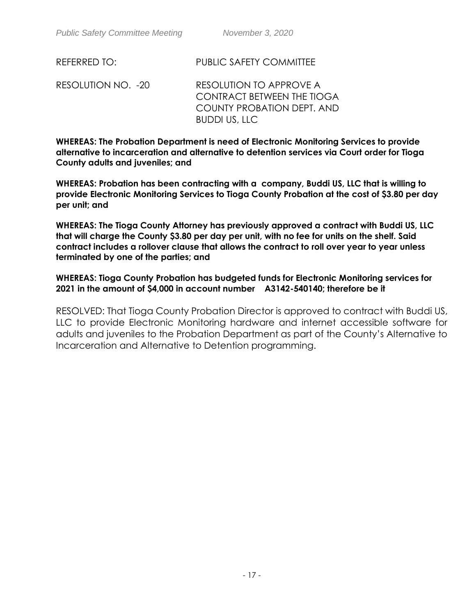RESOLUTION NO. -20 RESOLUTION TO APPROVE A CONTRACT BETWEEN THE TIOGA COUNTY PROBATION DEPT. AND BUDDI US, LLC

**WHEREAS: The Probation Department is need of Electronic Monitoring Services to provide alternative to incarceration and alternative to detention services via Court order for Tioga County adults and juveniles; and** 

**WHEREAS: Probation has been contracting with a company, Buddi US, LLC that is willing to provide Electronic Monitoring Services to Tioga County Probation at the cost of \$3.80 per day per unit; and** 

**WHEREAS: The Tioga County Attorney has previously approved a contract with Buddi US, LLC that will charge the County \$3.80 per day per unit, with no fee for units on the shelf. Said contract includes a rollover clause that allows the contract to roll over year to year unless terminated by one of the parties; and**

**WHEREAS: Tioga County Probation has budgeted funds for Electronic Monitoring services for 2021 in the amount of \$4,000 in account number A3142-540140; therefore be it** 

RESOLVED: That Tioga County Probation Director is approved to contract with Buddi US, LLC to provide Electronic Monitoring hardware and internet accessible software for adults and juveniles to the Probation Department as part of the County's Alternative to Incarceration and Alternative to Detention programming.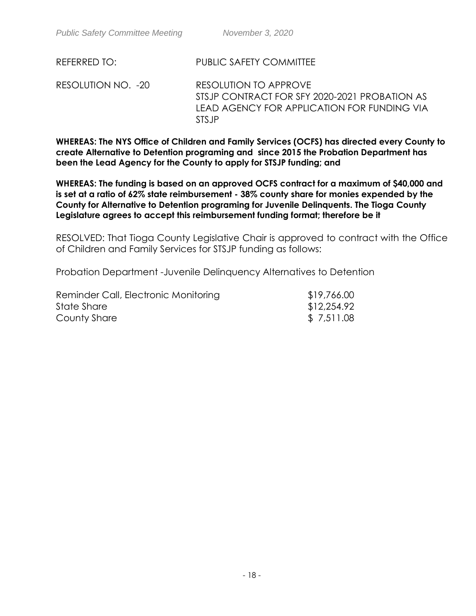RESOLUTION NO. -20 RESOLUTION TO APPROVE STSJP CONTRACT FOR SFY 2020-2021 PROBATION AS LEAD AGENCY FOR APPLICATION FOR FUNDING VIA STSJP

**WHEREAS: The NYS Office of Children and Family Services (OCFS) has directed every County to create Alternative to Detention programing and since 2015 the Probation Department has been the Lead Agency for the County to apply for STSJP funding; and** 

**WHEREAS: The funding is based on an approved OCFS contract for a maximum of \$40,000 and is set at a ratio of 62% state reimbursement - 38% county share for monies expended by the County for Alternative to Detention programing for Juvenile Delinquents. The Tioga County Legislature agrees to accept this reimbursement funding format; therefore be it** 

RESOLVED: That Tioga County Legislative Chair is approved to contract with the Office of Children and Family Services for STSJP funding as follows:

Probation Department -Juvenile Delinquency Alternatives to Detention

| Reminder Call, Electronic Monitoring | \$19,766.00 |
|--------------------------------------|-------------|
| State Share                          | \$12,254.92 |
| County Share                         | \$7,511.08  |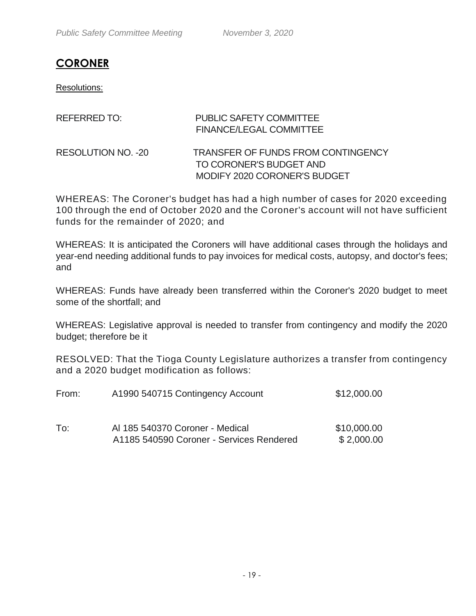# **CORONER**

Resolutions:

| REFERRED TO:              | <b>PUBLIC SAFETY COMMITTEE</b><br><b>FINANCE/LEGAL COMMITTEE</b>                                     |
|---------------------------|------------------------------------------------------------------------------------------------------|
| <b>RESOLUTION NO. -20</b> | <b>TRANSFER OF FUNDS FROM CONTINGENCY</b><br>TO CORONER'S BUDGET AND<br>MODIFY 2020 CORONER'S BUDGET |

WHEREAS: The Coroner's budget has had a high number of cases for 2020 exceeding 100 through the end of October 2020 and the Coroner's account will not have sufficient funds for the remainder of 2020; and

WHEREAS: It is anticipated the Coroners will have additional cases through the holidays and year-end needing additional funds to pay invoices for medical costs, autopsy, and doctor's fees; and

WHEREAS: Funds have already been transferred within the Coroner's 2020 budget to meet some of the shortfall; and

WHEREAS: Legislative approval is needed to transfer from contingency and modify the 2020 budget; therefore be it

RESOLVED: That the Tioga County Legislature authorizes a transfer from contingency and a 2020 budget modification as follows:

| From: | A1990 540715 Contingency Account                                            | \$12,000.00               |  |
|-------|-----------------------------------------------------------------------------|---------------------------|--|
| To:   | Al 185 540370 Coroner - Medical<br>A1185 540590 Coroner - Services Rendered | \$10,000.00<br>\$2,000.00 |  |